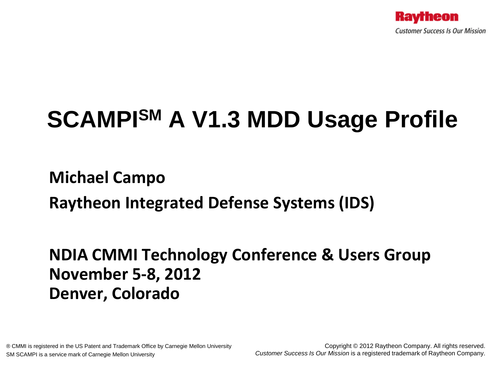

# **SCAMPISM A V1.3 MDD Usage Profile**

### **Michael Campo**

**Raytheon Integrated Defense Systems (IDS)** 

### **NDIA CMMI Technology Conference & Users Group November 5-8, 2012 Denver, Colorado**

® CMMI is registered in the US Patent and Trademark Office by Carnegie Mellon University SM SCAMPI is a service mark of Carnegie Mellon University

Copyright © 2012 Raytheon Company. All rights reserved. *Customer Success Is Our Mission* is a registered trademark of Raytheon Company.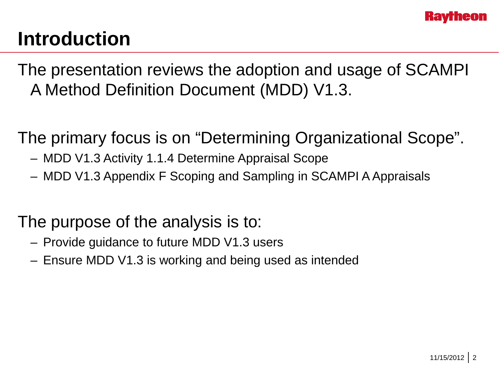

### **Introduction**

The presentation reviews the adoption and usage of SCAMPI A Method Definition Document (MDD) V1.3.

The primary focus is on "Determining Organizational Scope".

- MDD V1.3 Activity 1.1.4 Determine Appraisal Scope
- MDD V1.3 Appendix F Scoping and Sampling in SCAMPI A Appraisals

### The purpose of the analysis is to:

- Provide guidance to future MDD V1.3 users
- Ensure MDD V1.3 is working and being used as intended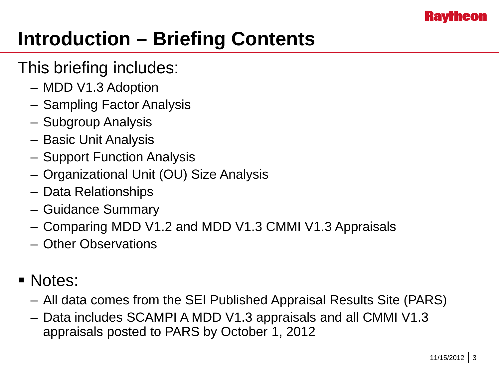

# **Introduction – Briefing Contents**

### This briefing includes:

- MDD V1.3 Adoption
- Sampling Factor Analysis
- Subgroup Analysis
- Basic Unit Analysis
- Support Function Analysis
- Organizational Unit (OU) Size Analysis
- Data Relationships
- Guidance Summary
- Comparing MDD V1.2 and MDD V1.3 CMMI V1.3 Appraisals
- Other Observations
- Notes:
	- All data comes from the SEI Published Appraisal Results Site (PARS)
	- Data includes SCAMPI A MDD V1.3 appraisals and all CMMI V1.3 appraisals posted to PARS by October 1, 2012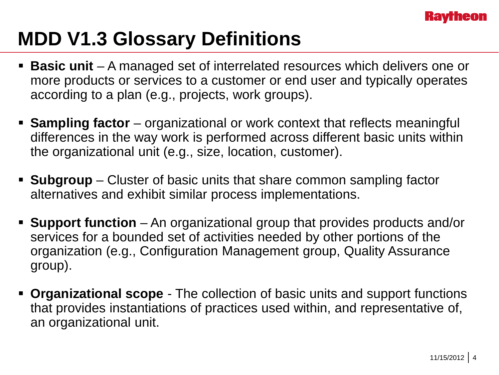

## **MDD V1.3 Glossary Definitions**

- **Basic unit**  A managed set of interrelated resources which delivers one or more products or services to a customer or end user and typically operates according to a plan (e.g., projects, work groups).
- **Sampling factor** organizational or work context that reflects meaningful differences in the way work is performed across different basic units within the organizational unit (e.g., size, location, customer).
- **Subgroup** Cluster of basic units that share common sampling factor alternatives and exhibit similar process implementations.
- **Support function**  An organizational group that provides products and/or services for a bounded set of activities needed by other portions of the organization (e.g., Configuration Management group, Quality Assurance group).
- **Organizational scope**  The collection of basic units and support functions that provides instantiations of practices used within, and representative of, an organizational unit.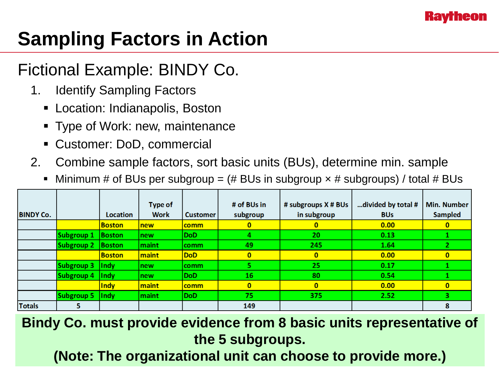

# **Sampling Factors in Action**

### Fictional Example: BINDY Co.

- 1. Identify Sampling Factors
	- Location: Indianapolis, Boston
	- **Type of Work: new, maintenance**
	- Customer: DoD, commercial
- 2. Combine sample factors, sort basic units (BUs), determine min. sample
	- Minimum # of BUs per subgroup =  $#$  BUs in subgroup  $\times$  # subgroups) / total # BUs

|                  |                   |                         | Type of     |                 | # of BUs in  | # subgroups X # BUs | divided by total # | <b>Min. Number</b> |
|------------------|-------------------|-------------------------|-------------|-----------------|--------------|---------------------|--------------------|--------------------|
| <b>BINDY Co.</b> |                   | <b>Location</b>         | <b>Work</b> | <b>Customer</b> | subgroup     | in subgroup         | <b>BUs</b>         | <b>Sampled</b>     |
|                  |                   | <b>Boston</b>           | <b>Inew</b> | <b>comm</b>     | 0            | 0                   | 0.00               | 0                  |
|                  | Subgroup 1        | <b>Boston</b>           | new         | <b>DoD</b>      |              | 20                  | 0.13               |                    |
|                  | Subgroup 2        | Boston                  | maint       | comm            | 49           | 245                 | 1.64               |                    |
|                  |                   | <b>Boston</b>           | maint       | <b>DoD</b>      | $\mathbf{0}$ | 0                   | 0.00               | $\mathbf{0}$       |
|                  | Subgroup 3        | <b>Indy</b>             | new         | comm            |              | 25                  | 0.17               |                    |
|                  | Subgroup 4        | $\vert \vert$ Indy      | new         | <b>DoD</b>      | 16           | 80                  | 0.54               |                    |
|                  |                   | Indy                    | maint       | <b>comm</b>     | $\mathbf{0}$ | $\mathbf{0}$        | 0.00               | 0                  |
|                  | <b>Subgroup 5</b> | $\vert \vert \vert$ ndy | maint       | <b>DoD</b>      | 75           | 375                 | 2.52               |                    |
| <b>Totals</b>    |                   |                         |             |                 | 149          |                     |                    | 8                  |

**Bindy Co. must provide evidence from 8 basic units representative of the 5 subgroups.**

(Note: The organizational unit can choose to provide more.)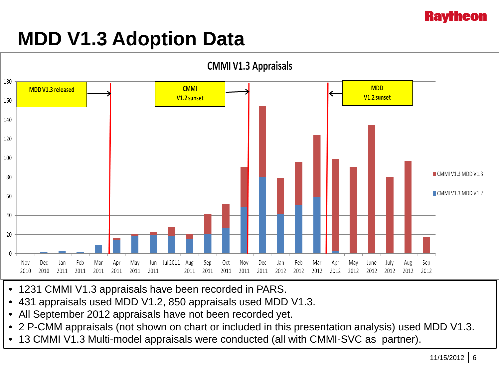

### **MDD V1.3 Adoption Data**



- 1231 CMMI V1.3 appraisals have been recorded in PARS.
- 431 appraisals used MDD V1.2, 850 appraisals used MDD V1.3.
- All September 2012 appraisals have not been recorded yet.
- 2 P-CMM appraisals (not shown on chart or included in this presentation analysis) used MDD V1.3.
- 13 CMMI V1.3 Multi-model appraisals were conducted (all with CMMI-SVC as partner).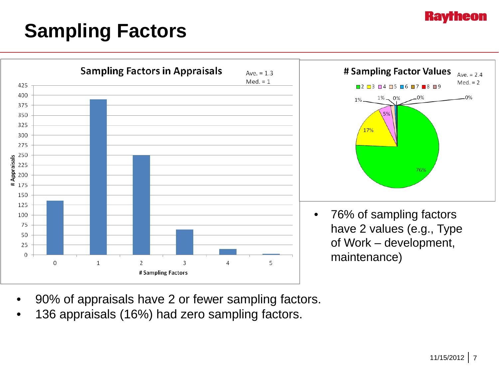#### **Ravrheon**

# **Sampling Factors**



- 90% of appraisals have 2 or fewer sampling factors.
- 136 appraisals (16%) had zero sampling factors.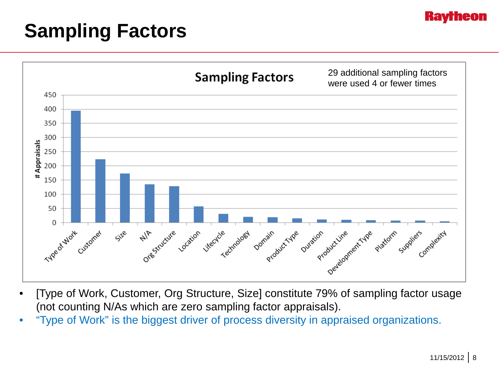

### **Sampling Factors**



- [Type of Work, Customer, Org Structure, Size] constitute 79% of sampling factor usage (not counting N/As which are zero sampling factor appraisals).
- "Type of Work" is the biggest driver of process diversity in appraised organizations.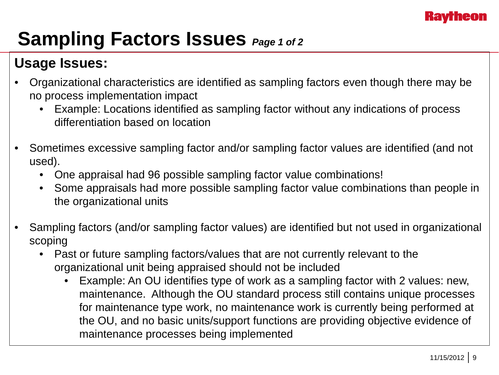

### **Sampling Factors Issues** *Page 1 of 2*

### **Usage Issues:**

- Organizational characteristics are identified as sampling factors even though there may be no process implementation impact
	- Example: Locations identified as sampling factor without any indications of process differentiation based on location
- Sometimes excessive sampling factor and/or sampling factor values are identified (and not used).
	- One appraisal had 96 possible sampling factor value combinations!
	- Some appraisals had more possible sampling factor value combinations than people in the organizational units
- Sampling factors (and/or sampling factor values) are identified but not used in organizational scoping
	- Past or future sampling factors/values that are not currently relevant to the organizational unit being appraised should not be included
		- Example: An OU identifies type of work as a sampling factor with 2 values: new, maintenance. Although the OU standard process still contains unique processes for maintenance type work, no maintenance work is currently being performed at the OU, and no basic units/support functions are providing objective evidence of maintenance processes being implemented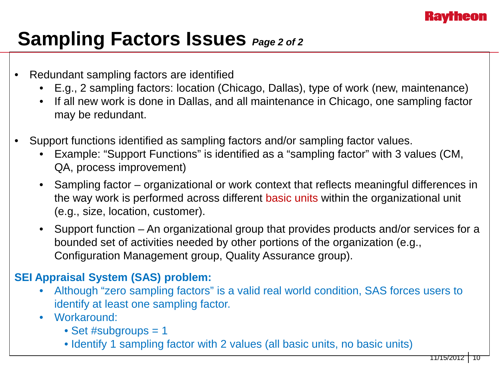

### **Sampling Factors Issues** *Page 2 of 2*

- Redundant sampling factors are identified
	- E.g., 2 sampling factors: location (Chicago, Dallas), type of work (new, maintenance)
	- If all new work is done in Dallas, and all maintenance in Chicago, one sampling factor may be redundant.
- Support functions identified as sampling factors and/or sampling factor values.
	- Example: "Support Functions" is identified as a "sampling factor" with 3 values (CM, QA, process improvement)
	- Sampling factor organizational or work context that reflects meaningful differences in the way work is performed across different basic units within the organizational unit (e.g., size, location, customer).
	- Support function An organizational group that provides products and/or services for a bounded set of activities needed by other portions of the organization (e.g., Configuration Management group, Quality Assurance group).

#### **SEI Appraisal System (SAS) problem:**

- Although "zero sampling factors" is a valid real world condition, SAS forces users to identify at least one sampling factor.
- Workaround:
	- Set #subgroups = 1
	- Identify 1 sampling factor with 2 values (all basic units, no basic units)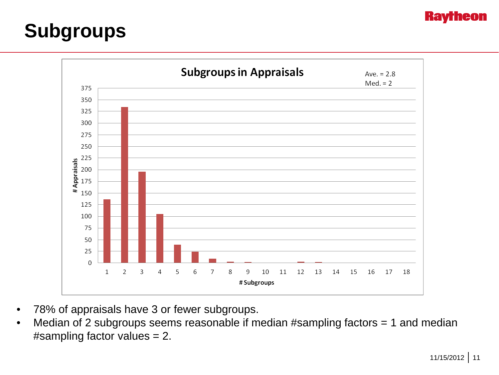### **Subgroups**



- 78% of appraisals have 3 or fewer subgroups.
- Median of 2 subgroups seems reasonable if median #sampling factors = 1 and median #sampling factor values = 2.

**Ravrheon**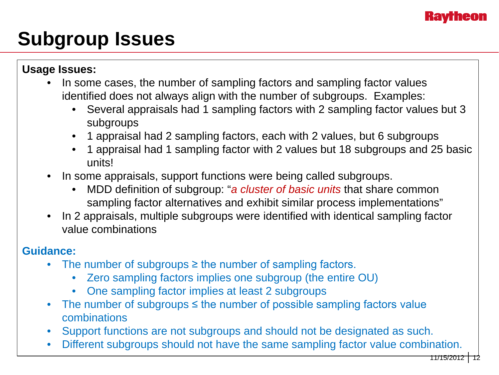# **Subgroup Issues**

**Usage Issues:**

- In some cases, the number of sampling factors and sampling factor values identified does not always align with the number of subgroups. Examples:
	- Several appraisals had 1 sampling factors with 2 sampling factor values but 3 subgroups
	- 1 appraisal had 2 sampling factors, each with 2 values, but 6 subgroups
	- 1 appraisal had 1 sampling factor with 2 values but 18 subgroups and 25 basic units!
- In some appraisals, support functions were being called subgroups.
	- MDD definition of subgroup: "*a cluster of basic units* that share common sampling factor alternatives and exhibit similar process implementations"
- In 2 appraisals, multiple subgroups were identified with identical sampling factor value combinations

#### **Guidance:**

- The number of subgroups ≥ the number of sampling factors.
	- Zero sampling factors implies one subgroup (the entire OU)
	- One sampling factor implies at least 2 subgroups
- The number of subgroups  $\leq$  the number of possible sampling factors value combinations
- Support functions are not subgroups and should not be designated as such.
- Different subgroups should not have the same sampling factor value combination.

11/15/2012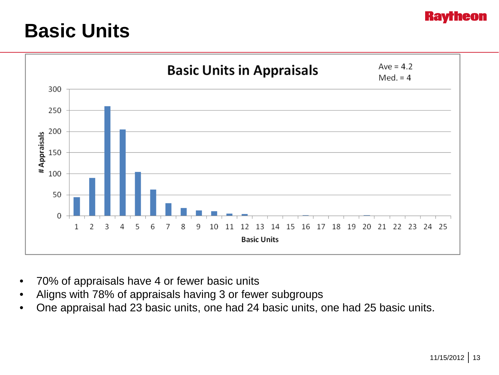### **Basic Units**



- 70% of appraisals have 4 or fewer basic units
- Aligns with 78% of appraisals having 3 or fewer subgroups
- One appraisal had 23 basic units, one had 24 basic units, one had 25 basic units.

**Rav**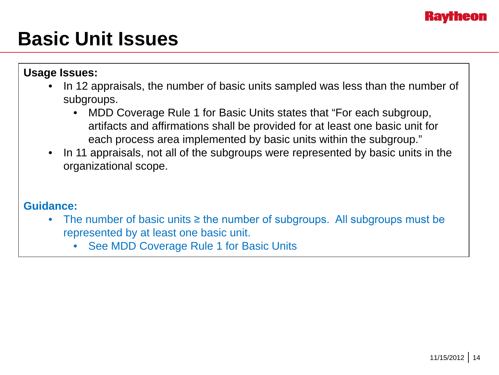## **Basic Unit Issues**

**Usage Issues:**

- In 12 appraisals, the number of basic units sampled was less than the number of subgroups.
	- MDD Coverage Rule 1 for Basic Units states that "For each subgroup, artifacts and affirmations shall be provided for at least one basic unit for each process area implemented by basic units within the subgroup."
- In 11 appraisals, not all of the subgroups were represented by basic units in the organizational scope.

#### **Guidance:**

- The number of basic units ≥ the number of subgroups. All subgroups must be represented by at least one basic unit.
	- See MDD Coverage Rule 1 for Basic Units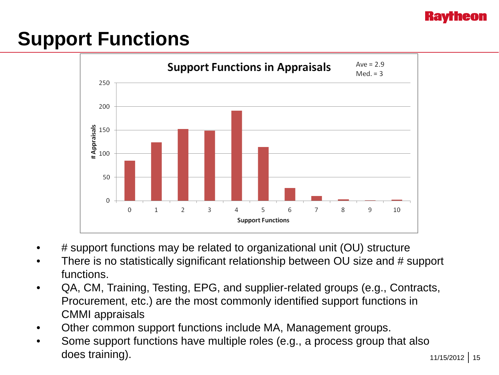# **Support Functions**



- # support functions may be related to organizational unit (OU) structure
- There is no statistically significant relationship between OU size and # support functions.
- QA, CM, Training, Testing, EPG, and supplier-related groups (e.g., Contracts, Procurement, etc.) are the most commonly identified support functions in CMMI appraisals
- Other common support functions include MA, Management groups.
- Some support functions have multiple roles (e.g., a process group that also does training).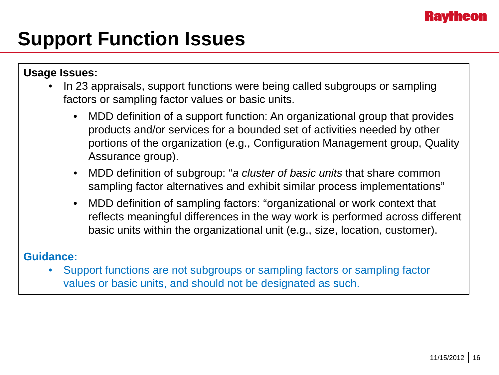

## **Support Function Issues**

#### **Usage Issues:**

- In 23 appraisals, support functions were being called subgroups or sampling factors or sampling factor values or basic units.
	- MDD definition of a support function: An organizational group that provides products and/or services for a bounded set of activities needed by other portions of the organization (e.g., Configuration Management group, Quality Assurance group).
	- MDD definition of subgroup: "*a cluster of basic units* that share common sampling factor alternatives and exhibit similar process implementations"
	- MDD definition of sampling factors: "organizational or work context that reflects meaningful differences in the way work is performed across different basic units within the organizational unit (e.g., size, location, customer).

#### **Guidance:**

• Support functions are not subgroups or sampling factors or sampling factor values or basic units, and should not be designated as such.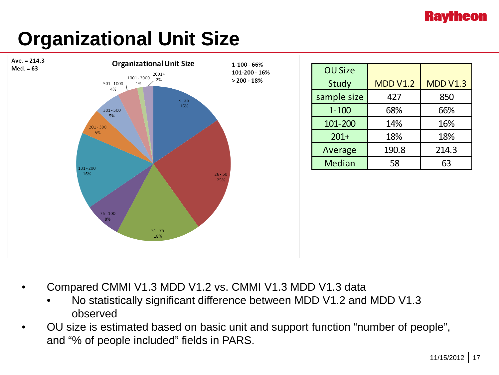### **Kavrheon**

# **Organizational Unit Size**



- Compared CMMI V1.3 MDD V1.2 vs. CMMI V1.3 MDD V1.3 data
	- No statistically significant difference between MDD V1.2 and MDD V1.3 observed
- OU size is estimated based on basic unit and support function "number of people", and "% of people included" fields in PARS.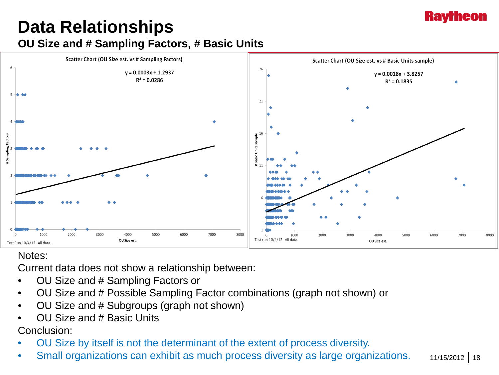### **Kavrheon**

### **Data Relationships OU Size and # Sampling Factors, # Basic Units**



#### Notes:

Current data does not show a relationship between:

- OU Size and # Sampling Factors or
- OU Size and # Possible Sampling Factor combinations (graph not shown) or
- OU Size and # Subgroups (graph not shown)
- OU Size and # Basic Units

Conclusion:

- OU Size by itself is not the determinant of the extent of process diversity.
- Small organizations can exhibit as much process diversity as large organizations.

11/15/2012 18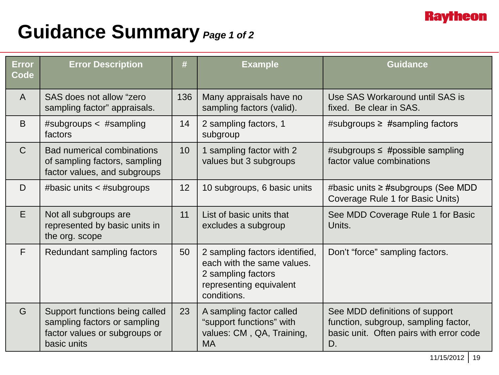

### **Guidance Summary** *Page 1 of 2*

| <b>Error</b><br>Code | <b>Error Description</b>                                                                                       |                 | <b>Example</b>                                                                                                               | <b>Guidance</b>                                                                                                         |  |  |
|----------------------|----------------------------------------------------------------------------------------------------------------|-----------------|------------------------------------------------------------------------------------------------------------------------------|-------------------------------------------------------------------------------------------------------------------------|--|--|
| $\mathsf{A}$         | SAS does not allow "zero<br>sampling factor" appraisals.                                                       |                 | Many appraisals have no<br>sampling factors (valid).                                                                         | Use SAS Workaround until SAS is<br>fixed. Be clear in SAS.                                                              |  |  |
| B                    | #subgroups $\lt$ #sampling<br>factors                                                                          |                 | 2 sampling factors, 1<br>subgroup                                                                                            | #subgroups $\ge$ #sampling factors                                                                                      |  |  |
| $\mathsf{C}$         | <b>Bad numerical combinations</b><br>of sampling factors, sampling<br>factor values, and subgroups             |                 | 1 sampling factor with 2<br>values but 3 subgroups                                                                           | #subgroups $\leq$ #possible sampling<br>factor value combinations                                                       |  |  |
| D                    | #basic units < #subgroups                                                                                      | 12 <sup>2</sup> | 10 subgroups, 6 basic units                                                                                                  | #basic units $\geq$ #subgroups (See MDD<br>Coverage Rule 1 for Basic Units)                                             |  |  |
| E                    | Not all subgroups are<br>represented by basic units in<br>the org. scope                                       | 11              | List of basic units that<br>excludes a subgroup                                                                              | See MDD Coverage Rule 1 for Basic<br>Units.                                                                             |  |  |
| F                    | Redundant sampling factors                                                                                     | 50              | 2 sampling factors identified,<br>each with the same values.<br>2 sampling factors<br>representing equivalent<br>conditions. | Don't "force" sampling factors.                                                                                         |  |  |
| G                    | Support functions being called<br>sampling factors or sampling<br>factor values or subgroups or<br>basic units | 23              | A sampling factor called<br>"support functions" with<br>values: CM, QA, Training,<br><b>MA</b>                               | See MDD definitions of support<br>function, subgroup, sampling factor,<br>basic unit. Often pairs with error code<br>D. |  |  |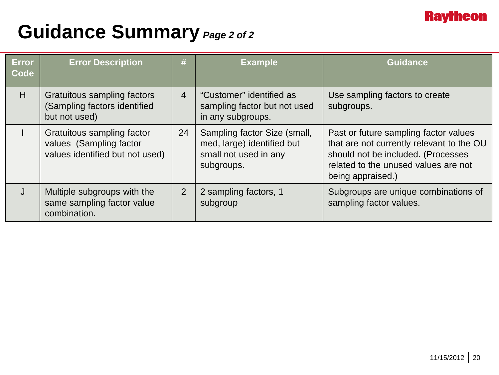

### **Guidance Summary** *Page 2 of 2*

| <b>Error</b><br>Code | <b>Error Description</b>                                                                 | #              | <b>Example</b>                                                                                    | <b>Guidance</b>                                                                                                                                                                       |
|----------------------|------------------------------------------------------------------------------------------|----------------|---------------------------------------------------------------------------------------------------|---------------------------------------------------------------------------------------------------------------------------------------------------------------------------------------|
| H                    | Gratuitous sampling factors<br>(Sampling factors identified<br>but not used)             | $\overline{4}$ | "Customer" identified as<br>sampling factor but not used<br>in any subgroups.                     | Use sampling factors to create<br>subgroups.                                                                                                                                          |
|                      | Gratuitous sampling factor<br>values (Sampling factor<br>values identified but not used) | 24             | Sampling factor Size (small,<br>med, large) identified but<br>small not used in any<br>subgroups. | Past or future sampling factor values<br>that are not currently relevant to the OU<br>should not be included. (Processes<br>related to the unused values are not<br>being appraised.) |
|                      | Multiple subgroups with the<br>same sampling factor value<br>combination.                | $\overline{2}$ | 2 sampling factors, 1<br>subgroup                                                                 | Subgroups are unique combinations of<br>sampling factor values.                                                                                                                       |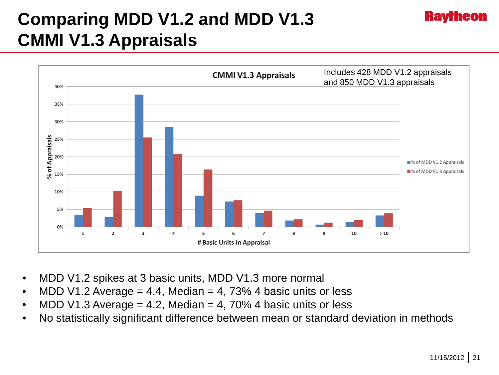### **Comparing MDD V1.2 and MDD V1.3 CMMI V1.3 Appraisals**



- MDD V1.2 spikes at 3 basic units, MDD V1.3 more normal
- MDD V1.2 Average  $= 4.4$ , Median  $= 4$ , 73% 4 basic units or less
- MDD V1.3 Average  $= 4.2$ , Median  $= 4$ , 70% 4 basic units or less
- No statistically significant difference between mean or standard deviation in methods

**Kav**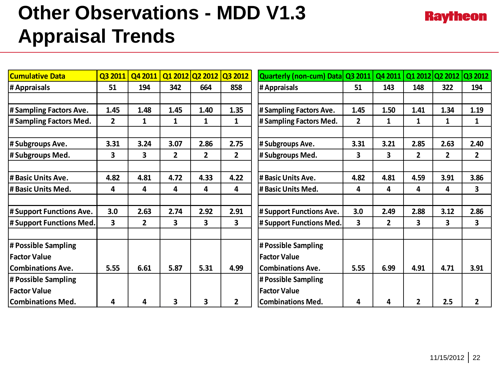# **Other Observations - MDD V1.3 Appraisal Trends**

| <b>Cumulative Data</b>   | Q3 2011        | Q4 2011      |                | Q1 2012 Q2 2012 | Q3 2012        | <b>Quarterly (non-cum) Data</b> | Q3 2011        | Q4 2011      |                |              | Q1 2012 Q2 2012 Q3 2012 |
|--------------------------|----------------|--------------|----------------|-----------------|----------------|---------------------------------|----------------|--------------|----------------|--------------|-------------------------|
| # Appraisals             | 51             | 194          | 342            | 664             | 858            | # Appraisals                    | 51             | 143          | 148            | 322          | 194                     |
|                          |                |              |                |                 |                |                                 |                |              |                |              |                         |
| # Sampling Factors Ave.  | 1.45           | 1.48         | 1.45           | 1.40            | 1.35           | # Sampling Factors Ave.         | 1.45           | 1.50         | 1.41           | 1.34         | 1.19                    |
| # Sampling Factors Med.  | $\overline{2}$ | 1            | 1              | 1               | $\mathbf{1}$   | # Sampling Factors Med.         | $\overline{2}$ | $\mathbf{1}$ | $\mathbf{1}$   | 1            | 1                       |
|                          |                |              |                |                 |                |                                 |                |              |                |              |                         |
| # Subgroups Ave.         | 3.31           | 3.24         | 3.07           | 2.86            | 2.75           | # Subgroups Ave.                | 3.31           | 3.21         | 2.85           | 2.63         | 2.40                    |
| # Subgroups Med.         | 3              | 3            | $\overline{2}$ | $\mathbf{2}$    | $\overline{2}$ | #Subgroups Med.                 | 3              | 3            | $\overline{2}$ | $\mathbf{2}$ | $\overline{2}$          |
| # Basic Units Ave.       | 4.82           | 4.81         | 4.72           | 4.33            | 4.22           | # Basic Units Ave.              | 4.82           | 4.81         | 4.59           | 3.91         | 3.86                    |
| l# Basic Units Med.      | 4              | 4            | 4              | 4               | 4              | # Basic Units Med.              | 4              | 4            | 4              | 4            | 3                       |
|                          |                |              |                |                 |                |                                 |                |              |                |              |                         |
| # Support Functions Ave. | 3.0            | 2.63         | 2.74           | 2.92            | 2.91           | # Support Functions Ave.        | 3.0            | 2.49         | 2.88           | 3.12         | 2.86                    |
| # Support Functions Med. | 3              | $\mathbf{2}$ | 3              | 3               | 3              | # Support Functions Med.        | 3              | $\mathbf{2}$ | 3              | 3            | 3                       |
| # Possible Sampling      |                |              |                |                 |                | # Possible Sampling             |                |              |                |              |                         |
| <b> Factor Value</b>     |                |              |                |                 |                | <b>Factor Value</b>             |                |              |                |              |                         |
| <b>Combinations Ave.</b> | 5.55           | 6.61         | 5.87           | 5.31            | 4.99           | <b>Combinations Ave.</b>        | 5.55           | 6.99         | 4.91           | 4.71         | 3.91                    |
| # Possible Sampling      |                |              |                |                 |                | # Possible Sampling             |                |              |                |              |                         |
| <b>Factor Value</b>      |                |              |                |                 |                | <b>Factor Value</b>             |                |              |                |              |                         |
| <b>Combinations Med.</b> | 4              | 4            | 3              | 3               | $\overline{2}$ | <b>Combinations Med.</b>        | 4              | 4            | $\overline{2}$ | 2.5          | $\overline{2}$          |

**Raytheon**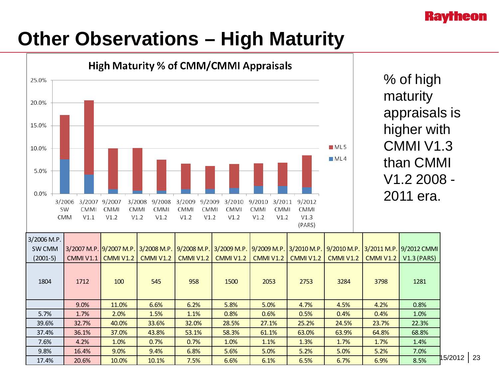### **Kavrheon**

# **Other Observations – High Maturity**



15/2012 23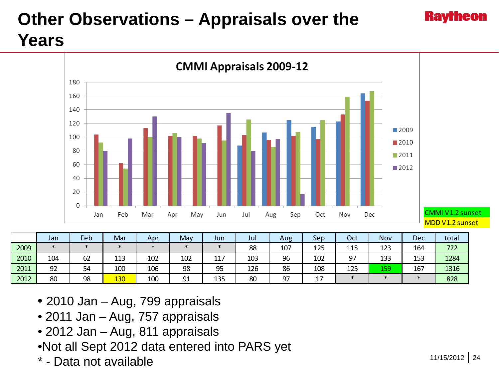### **Other Observations – Appraisals over the Years**



<mark>2012 |</mark> 80 | 98 <mark>| 130 |</mark> 100 | 91 | 135 | 80 | 97 | 17 | \* | \* | \* | <mark>828</mark>

- 2010 Jan Aug, 799 appraisals
- 2011 Jan Aug, 757 appraisals
- 2012 Jan Aug, 811 appraisals
- •Not all Sept 2012 data entered into PARS yet
- \* Data not available

**Ravrheon**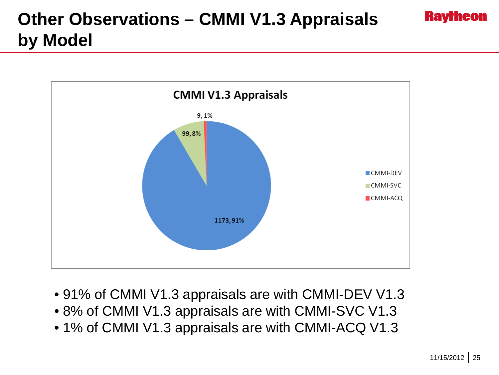### **Other Observations – CMMI V1.3 Appraisals by Model**



- 91% of CMMI V1.3 appraisals are with CMMI-DEV V1.3
- 8% of CMMI V1.3 appraisals are with CMMI-SVC V1.3
- 1% of CMMI V1.3 appraisals are with CMMI-ACQ V1.3

**Raytheon**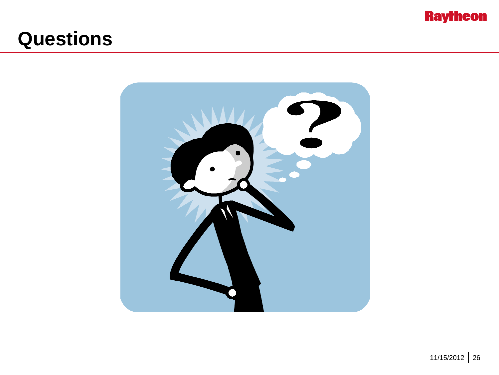

### **Questions**

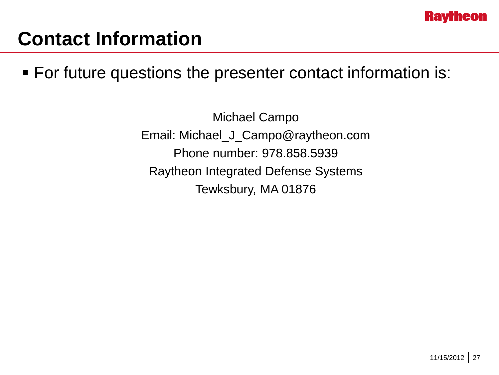

### **Contact Information**

For future questions the presenter contact information is:

Michael Campo Email: Michael\_J\_Campo@raytheon.com Phone number: 978.858.5939 Raytheon Integrated Defense Systems Tewksbury, MA 01876